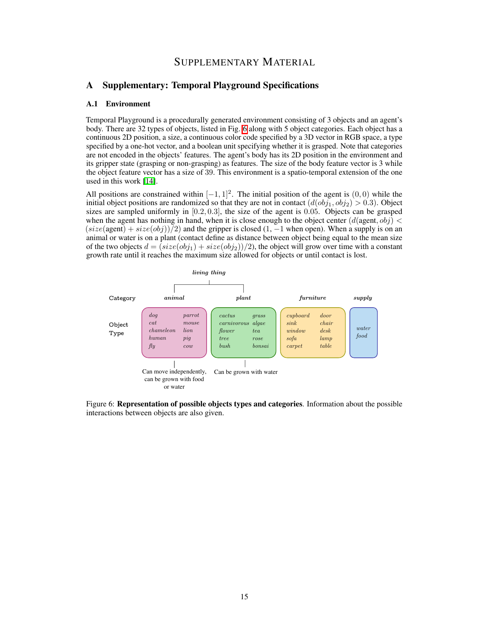# SUPPLEMENTARY MATERIAL

## A Supplementary: Temporal Playground Specifications

### <span id="page-0-8"></span>A.1 Environment

Temporal Playground is a procedurally generated environment consisting of 3 objects and an agent's body. There are 32 types of objects, listed in Fig.  $\overline{6}$  along with 5 object categories. Each object has a continuous 2D position, a size, a continuous color code specified by a 3D vector in RGB space, a type specified by a one-hot vector, and a boolean unit specifying whether it is grasped. Note that categories are not encoded in the objects' features. The agent's body has its 2D position in the environment and its gripper state (grasping or non-grasping) as features. The size of the body feature vector is 3 while the object feature vector has a size of 39. This environment is a spatio-temporal extension of the one used in this work  $[14]$ .

All positions are constrained within  $[-1, 1]^2$ . The initial position of the agent is  $(0, 0)$  while the initial object positions are randomized so that they are not in contact  $(d(obj_1, obj_2) > 0.3)$ . Object sizes are sampled uniformly in [0*.*2*,* 0*.*3], the size of the agent is 0*.*05. Objects can be grasped when the agent has nothing in hand, when it is close enough to the object center  $(d$ (agent,  $obj$ )  $\lt$  $(size(\text{agent}) + size(obj))$  2) and the gripper is closed (1, -1 when open). When a supply is on an animal or water is on a plant (contact define as distance between object being equal to the mean size of the two objects  $d = (size(obj_1) + size(obj_2))/2)$ , the object will grow over time with a constant growth rate until it reaches the maximum size allowed for objects or until contact is lost.

<span id="page-0-9"></span><span id="page-0-7"></span><span id="page-0-3"></span>

<span id="page-0-6"></span><span id="page-0-5"></span><span id="page-0-4"></span><span id="page-0-2"></span><span id="page-0-1"></span><span id="page-0-0"></span>Figure 6: Representation of possible objects types and categories. Information about the possible interactions between objects are also given.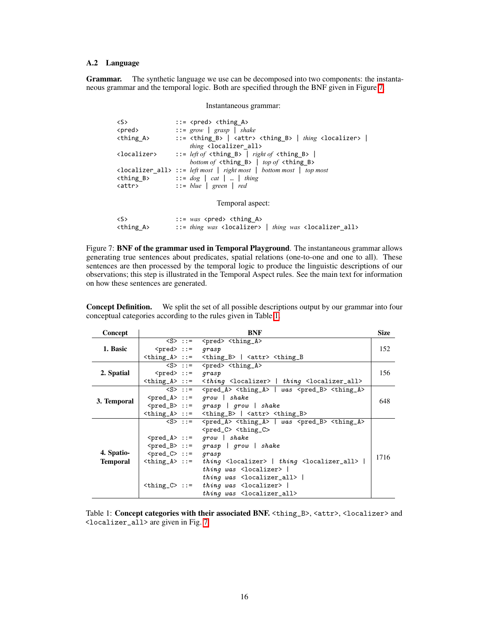## A.2 Language

Grammar. The synthetic language we use can be decomposed into two components: the instantaneous grammar and the temporal logic. Both are specified through the BNF given in Figure  $\frac{7}{1}$ .

<span id="page-1-0"></span>Instantaneous grammar:

| $\langle S \rangle$     | $ ::=$ <pred> <thing a=""></thing></pred>                                                                                               |  |  |  |  |
|-------------------------|-----------------------------------------------------------------------------------------------------------------------------------------|--|--|--|--|
| <pred></pred>           | $\therefore$ grow   grasp   shake                                                                                                       |  |  |  |  |
| <thing_a></thing_a>     | $ ::=$ <thing_b> <math> </math> <attr> <thing_b> <math> </math> thing <localizer> <math> </math></localizer></thing_b></attr></thing_b> |  |  |  |  |
|                         | thing <localizer all=""></localizer>                                                                                                    |  |  |  |  |
| <localizer></localizer> | ::= <i>left of</i> <thing <math="">B &gt;   <i>right of</i> <thing <math="">B &gt;  </thing></thing>                                    |  |  |  |  |
|                         | bottom of $\triangleleft$ thing B> $\mid$ top of $\triangleleft$ thing B>                                                               |  |  |  |  |
|                         | <localizer_all> ::= left most   right most   bottom most   top most</localizer_all>                                                     |  |  |  |  |
|                         | $\leftarrow$ thing B> $\cdot\cdot\cdot = dog \mid cat \mid  \mid thing$                                                                 |  |  |  |  |
| <attr></attr>           | $\therefore$ = blue   green   red                                                                                                       |  |  |  |  |
|                         |                                                                                                                                         |  |  |  |  |
| Temporal aspect:        |                                                                                                                                         |  |  |  |  |
|                         |                                                                                                                                         |  |  |  |  |
| $\langle S \rangle$     | $ ::= was one d> thing A$                                                                                                               |  |  |  |  |
| <thing a=""></thing>    | ::= thing was <localizer>   thing was <localizer_all></localizer_all></localizer>                                                       |  |  |  |  |

Figure 7: BNF of the grammar used in Temporal Playground. The instantaneous grammar allows generating true sentences about predicates, spatial relations (one-to-one and one to all). These sentences are then processed by the temporal logic to produce the linguistic descriptions of our observations; this step is illustrated in the Temporal Aspect rules. See the main text for information on how these sentences are generated.

Concept Definition. We split the set of all possible descriptions output by our grammar into four conceptual categories according to the rules given in Table  $\overline{11}$ .

<span id="page-1-1"></span>

| Concept     | <b>BNF</b>                          |  |                                                                                                                                 | <b>Size</b> |  |  |
|-------------|-------------------------------------|--|---------------------------------------------------------------------------------------------------------------------------------|-------------|--|--|
|             |                                     |  | $\langle S \rangle$ ::= $\langle pred \rangle \langle thing_A \rangle$                                                          | 152         |  |  |
| 1. Basic    | $<$ pred> ::= $qrasp$               |  |                                                                                                                                 |             |  |  |
|             |                                     |  | $\{\text{thing_A} \}$ ::= $\{\text{thing_B} \}$ $\{\text{attr} \}$ $\{\text{thing_B}\}$                                         |             |  |  |
|             |                                     |  | $\overline{\text{S}}$ ::= $\text{S}$ <pred> <thing_a></thing_a></pred>                                                          |             |  |  |
| 2. Spatial  | $<$ pred> ::= qrasp                 |  |                                                                                                                                 | 156         |  |  |
|             |                                     |  | $\text{ ::= \text{    thing $                                                                                                   |             |  |  |
| 3. Temporal |                                     |  | $\langle S \rangle$ ::= $\langle pred_A \rangle \langle thing_A \rangle$   was $\langle pred_B \rangle \langle thing_A \rangle$ |             |  |  |
|             |                                     |  | $\text{Spred}_A> ::= \text{grow} \mid \text{shake}$                                                                             | 648         |  |  |
|             |                                     |  | $\text{<} \text{pred}_B$ ::= grasp   grow   shake                                                                               |             |  |  |
|             |                                     |  | $\n  <$ thing_A> ::= $\n  <$ thing_B>   $\lt$ attr> $\lt$ thing_B>                                                              |             |  |  |
|             |                                     |  | $\langle S \rangle$ ::= $\langle pred_A \rangle \langle thing_A \rangle$   was $\langle pred_B \rangle \langle thing_A \rangle$ |             |  |  |
|             |                                     |  | $<$ pred_ $C$ > $<$ thing_ $C$ >                                                                                                |             |  |  |
|             |                                     |  | $\text{Spred}_A > :: =$ grow   shake                                                                                            |             |  |  |
|             |                                     |  | $\text{<} \text{pred}_B$ ::= grasp   grow   shake                                                                               |             |  |  |
| 4. Spatio-  | $\text{Spred}_C$ : = $\text{grasp}$ |  |                                                                                                                                 | 1716        |  |  |
| Temporal    | $\text{} ::$                        |  | thing <localizer>   thing <localizer_all>  </localizer_all></localizer>                                                         |             |  |  |
|             |                                     |  | thing was $\leq$ localizer>                                                                                                     |             |  |  |
|             |                                     |  | thing was $\leq$ localizer_all>                                                                                                 |             |  |  |
|             | $\text{$                            |  | thing was $\langle$ localizer>                                                                                                  |             |  |  |
|             |                                     |  | thing was <localizer_all></localizer_all>                                                                                       |             |  |  |

Table 1: Concept categories with their associated BNF. <thing\_B>, <attr>>ttr>, <localizer> and  $\leq$ localizer\_all> are given in Fig.  $\sqrt{7}$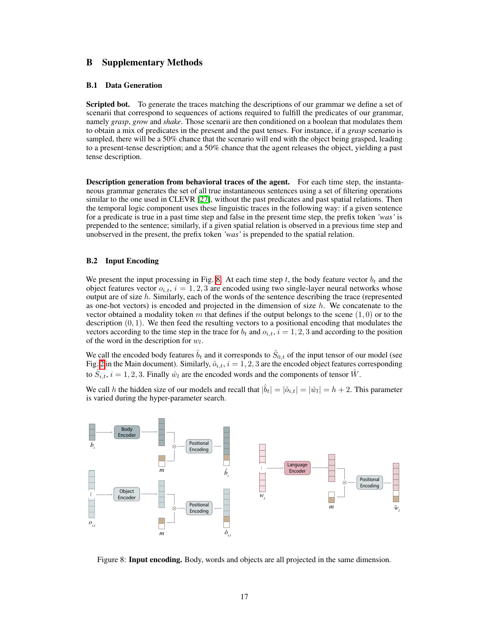## B Supplementary Methods

#### B.1 Data Generation

Scripted bot. To generate the traces matching the descriptions of our grammar we define a set of scenarii that correspond to sequences of actions required to fulfill the predicates of our grammar, namely *grasp*, *grow* and *shake*. Those scenarii are then conditioned on a boolean that modulates them to obtain a mix of predicates in the present and the past tenses. For instance, if a *grasp* scenario is sampled, there will be a 50% chance that the scenario will end with the object being grasped, leading to a present-tense description; and a 50% chance that the agent releases the object, yielding a past tense description.

Description generation from behavioral traces of the agent. For each time step, the instantaneous grammar generates the set of all true instantaneous sentences using a set of filtering operations similar to the one used in CLEVR  $[27]$ , without the past predicates and past spatial relations. Then the temporal logic component uses these linguistic traces in the following way: if a given sentence for a predicate is true in a past time step and false in the present time step, the prefix token *'was'* is prepended to the sentence; similarly, if a given spatial relation is observed in a previous time step and unobserved in the present, the prefix token *'was'* is prepended to the spatial relation.

### B.2 Input Encoding

We present the input processing in Fig.  $\mathcal{B}$ . At each time step *t*, the body feature vector  $b_t$  and the object features vector  $o_{i,t}$ ,  $i = 1,2,3$  are encoded using two single-layer neural networks whose output are of size *h*. Similarly, each of the words of the sentence describing the trace (represented as one-hot vectors) is encoded and projected in the dimension of size *h*. We concatenate to the vector obtained a modality token *m* that defines if the output belongs to the scene  $(1, 0)$  or to the description (0*,* 1). We then feed the resulting vectors to a positional encoding that modulates the vectors according to the time step in the trace for  $b_t$  and  $o_{i,t}$ ,  $i = 1, 2, 3$  and according to the position of the word in the description for *wl*.

We call the encoded body features  $\hat{b}_t$  and it corresponds to  $\hat{S}_{0,t}$  of the input tensor of our model (see Fig.  $2$  in the Main document). Similarly,  $\hat{o}_{i,t}$ ,  $i = 1, 2, 3$  $i = 1, 2, 3$  $i = 1, 2, 3$  are the encoded object features corresponding to  $\hat{S}_{i,t}$ ,  $i = 1, 2, 3$ . Finally  $\hat{w}_l$  are the encoded words and the components of tensor  $\hat{W}$ .

We call *h* the hidden size of our models and recall that  $|\hat{b}_t| = |\hat{c}_{i,t}| = |\hat{w}_l| = h + 2$ . This parameter is varied during the hyper-parameter search.



<span id="page-2-0"></span>Figure 8: Input encoding. Body, words and objects are all projected in the same dimension.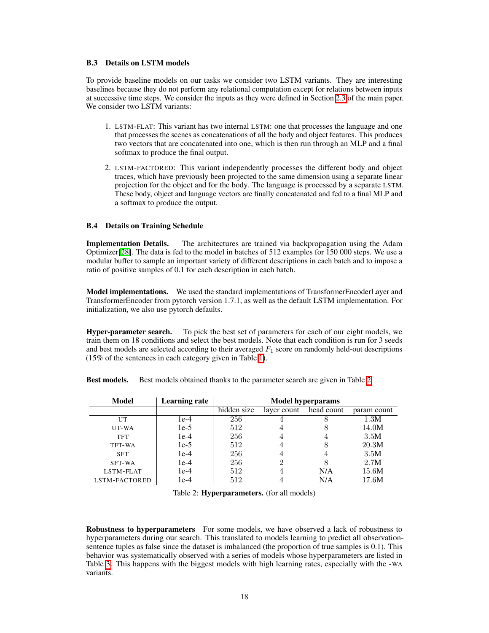### B.3 Details on LSTM models

To provide baseline models on our tasks we consider two LSTM variants. They are interesting baselines because they do not perform any relational computation except for relations between inputs at successive time steps. We consider the inputs as they were defined in Section  $[2.3]$  of the main paper. We consider two LSTM variants:

- 1. LSTM-FLAT: This variant has two internal LSTM: one that processes the language and one that processes the scenes as concatenations of all the body and object features. This produces two vectors that are concatenated into one, which is then run through an MLP and a final softmax to produce the final output.
- 2. LSTM-FACTORED: This variant independently processes the different body and object traces, which have previously been projected to the same dimension using a separate linear projection for the object and for the body. The language is processed by a separate LSTM. These body, object and language vectors are finally concatenated and fed to a final MLP and a softmax to produce the output.

### B.4 Details on Training Schedule

Implementation Details. The architectures are trained via backpropagation using the Adam Optimizer $[28]$ . The data is fed to the model in batches of 512 examples for 150 000 steps. We use a modular buffer to sample an important variety of different descriptions in each batch and to impose a ratio of positive samples of 0.1 for each description in each batch.

Model implementations. We used the standard implementations of TransformerEncoderLayer and TransformerEncoder from pytorch version 1.7.1, as well as the default LSTM implementation. For initialization, we also use pytorch defaults.

Hyper-parameter search. To pick the best set of parameters for each of our eight models, we train them on 18 conditions and select the best models. Note that each condition is run for 3 seeds and best models are selected according to their averaged *F*<sup>1</sup> score on randomly held-out descriptions (15% of the sentences in each category given in Table  $\overline{1}$ ).

**Best models.** Best models obtained thanks to the parameter search are given in Table  $\overline{2}$ .

| <b>Model</b>  | <b>Learning rate</b> | <b>Model hyperparams</b> |             |            |             |
|---------------|----------------------|--------------------------|-------------|------------|-------------|
|               |                      | hidden size              | layer count | head count | param count |
| UT            | 1e-4                 | 256                      |             |            | 1.3M        |
| UT-WA         | $1e-5$               | 512                      | 4           | 8          | 14.0M       |
| <b>TFT</b>    | $1e-4$               | 256                      | 4           | 4          | 3.5M        |
| TFT-WA        | $1e-5$               | 512                      |             | 8          | 20.3M       |
| <b>SFT</b>    | $1e-4$               | 256                      | 4           | 4          | 3.5M        |
| SFT-WA        | $1e-4$               | 256                      | റ           | 8          | 2.7M        |
| LSTM-FLAT     | $1e-4$               | 512                      |             | N/A        | 15.6M       |
| LSTM-FACTORED | $1e-4$               | 512                      |             | N/A        | 17.6M       |

<span id="page-3-0"></span>Table 2: Hyperparameters. (for all models)

Robustness to hyperparameters For some models, we have observed a lack of robustness to hyperparameters during our search. This translated to models learning to predict all observationsentence tuples as false since the dataset is imbalanced (the proportion of true samples is 0.1). This behavior was systematically observed with a series of models whose hyperparameters are listed in Table  $\overline{3}$ . This happens with the biggest models with high learning rates, especially with the -WA variants.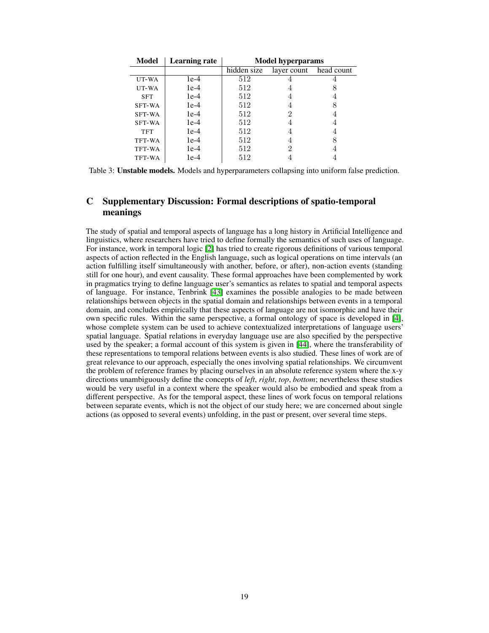<span id="page-4-0"></span>

| Model      | <b>Learning rate</b> | <b>Model hyperparams</b> |             |            |  |
|------------|----------------------|--------------------------|-------------|------------|--|
|            |                      | hidden size              | layer count | head count |  |
| UT-WA      | $1e-4$               | 512                      |             |            |  |
| UT-WA      | $1e-4$               | 512                      |             |            |  |
| <b>SFT</b> | $1e-4$               | 512                      |             |            |  |
| SFT-WA     | $1e-4$               | 512                      |             |            |  |
| SFT-WA     | $1e-4$               | 512                      |             |            |  |
| SFT-WA     | $1e-4$               | 512                      |             |            |  |
| <b>TFT</b> | $1e-4$               | 512                      |             |            |  |
| TFT-WA     | $1e-4$               | 512                      |             |            |  |
| TFT-WA     | $1e-4$               | 512                      | 2           |            |  |
| TFT-WA     | 1e-4                 | 512                      |             |            |  |

Table 3: Unstable models. Models and hyperparameters collapsing into uniform false prediction.

# C Supplementary Discussion: Formal descriptions of spatio-temporal meanings

The study of spatial and temporal aspects of language has a long history in Artificial Intelligence and linguistics, where researchers have tried to define formally the semantics of such uses of language. For instance, work in temporal logic  $\boxed{2}$  has tried to create rigorous definitions of various temporal aspects of action reflected in the English language, such as logical operations on time intervals (an action fulfilling itself simultaneously with another, before, or after), non-action events (standing still for one hour), and event causality. These formal approaches have been complemented by work in pragmatics trying to define language user's semantics as relates to spatial and temporal aspects of language. For instance, Tenbrink  $[43]$  examines the possible analogies to be made between relationships between objects in the spatial domain and relationships between events in a temporal domain, and concludes empirically that these aspects of language are not isomorphic and have their own specific rules. Within the same perspective, a formal ontology of space is developed in  $[4]$ , whose complete system can be used to achieve contextualized interpretations of language users' spatial language. Spatial relations in everyday language use are also specified by the perspective used by the speaker; a formal account of this system is given in  $[44]$ , where the transferability of these representations to temporal relations between events is also studied. These lines of work are of great relevance to our approach, especially the ones involving spatial relationships. We circumvent the problem of reference frames by placing ourselves in an absolute reference system where the x-y directions unambiguously define the concepts of *left*, *right*, *top*, *bottom*; nevertheless these studies would be very useful in a context where the speaker would also be embodied and speak from a different perspective. As for the temporal aspect, these lines of work focus on temporal relations between separate events, which is not the object of our study here; we are concerned about single actions (as opposed to several events) unfolding, in the past or present, over several time steps.